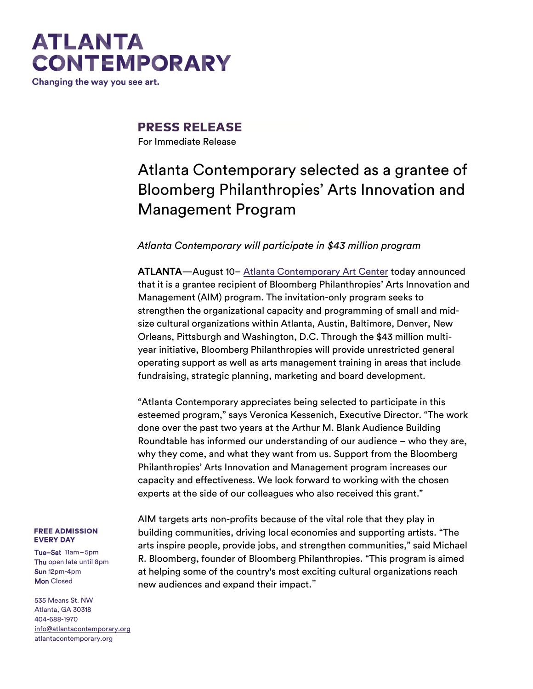## **ATLANTA CONTEMPORARY**

Changing the way you see art.

**PRESS RELEASE** 

For Immediate Release

## Atlanta Contemporary selected as a grantee of Bloomberg Philanthropies' Arts Innovation and Management Program

## *Atlanta Contemporary will participate in \$43 million program*

ATLANTA—August 10– [Atlanta Contemporary Art Center](http://atlantacontemporary.org/) today announced that it is a grantee recipient of Bloomberg Philanthropies' Arts Innovation and Management (AIM) program. The invitation-only program seeks to strengthen the organizational capacity and programming of small and midsize cultural organizations within Atlanta, Austin, Baltimore, Denver, New Orleans, Pittsburgh and Washington, D.C. Through the \$43 million multiyear initiative, Bloomberg Philanthropies will provide unrestricted general operating support as well as arts management training in areas that include fundraising, strategic planning, marketing and board development.

"Atlanta Contemporary appreciates being selected to participate in this esteemed program," says Veronica Kessenich, Executive Director. "The work Roundtable has informed our understanding of our audience – who they are, experts at the side of our colleagues who also received this grant."

done over the past two years at the Arthur M. Blank Audience Building why they come, and what they want from us. Support from the Bloomberg Philanthropies' Arts Innovation and Management program increases our capacity and effectiveness. We look forward to working with the chosen

#### **FREE ADMISSION EVERY DAY**

Tue–Sat 11am–5pm Thu open late until 8pm Sun 12pm-4pm **Mon** Closed

535 Means St. NW Atlanta, GA 30318 404-688-1970 [info@atlantacontemporary.org](mailto:info@atlantacontemporary.org) atlantacontemporary.org

AIM targets arts non-profits because of the vital role that they play in building communities, driving local economies and supporting artists. "The arts inspire people, provide jobs, and strengthen communities," said Michael R. Bloomberg, founder of Bloomberg Philanthropies. "This program is aimed at helping some of the country's most exciting cultural organizations reach new audiences and expand their impact."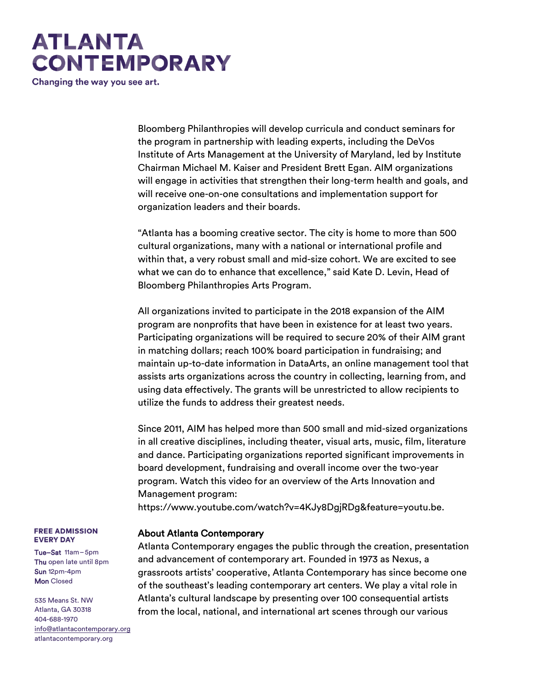# **ATLANTA CONTEMPORARY**

Changing the way you see art.

Bloomberg Philanthropies will develop curricula and conduct seminars for the program in partnership with leading experts, including the DeVos Institute of Arts Management at the University of Maryland, led by Institute Chairman Michael M. Kaiser and President Brett Egan. AIM organizations will engage in activities that strengthen their long-term health and goals, and will receive one-on-one consultations and implementation support for organization leaders and their boards.

"Atlanta has a booming creative sector. The city is home to more than 500 cultural organizations, many with a national or international profile and within that, a very robust small and mid-size cohort. We are excited to see what we can do to enhance that excellence," said Kate D. Levin, Head of Bloomberg Philanthropies Arts Program.

All organizations invited to participate in the 2018 expansion of the AIM program are nonprofits that have been in existence for at least two years. Participating organizations will be required to secure 20% of their AIM grant in matching dollars; reach 100% board participation in fundraising; and maintain up-to-date information in DataArts, an online management tool that assists arts organizations across the country in collecting, learning from, and using data effectively. The grants will be unrestricted to allow recipients to utilize the funds to address their greatest needs.

Since 2011, AIM has helped more than 500 small and mid-sized organizations in all creative disciplines, including theater, visual arts, music, film, literature and dance. Participating organizations reported significant improvements in board development, fundraising and overall income over the two-year program. Watch this video for an overview of the Arts Innovation and Management program:

https://www.youtube.com/watch?v=4KJy8DgjRDg&feature=youtu.be.

## About Atlanta Contemporary

Atlanta Contemporary engages the public through the creation, presentation and advancement of contemporary art. Founded in 1973 as Nexus, a grassroots artists' cooperative, Atlanta Contemporary has since become one of the southeast's leading contemporary art centers. We play a vital role in Atlanta's cultural landscape by presenting over 100 consequential artists from the local, national, and international art scenes through our various

#### **FREE ADMISSION EVERY DAY**

Tue–Sat 11am–5pm Thu open late until 8pm Sun 12pm-4pm **Mon** Closed

535 Means St. NW Atlanta, GA 30318 404-688-1970 [info@atlantacontemporary.org](mailto:info@atlantacontemporary.org) atlantacontemporary.org